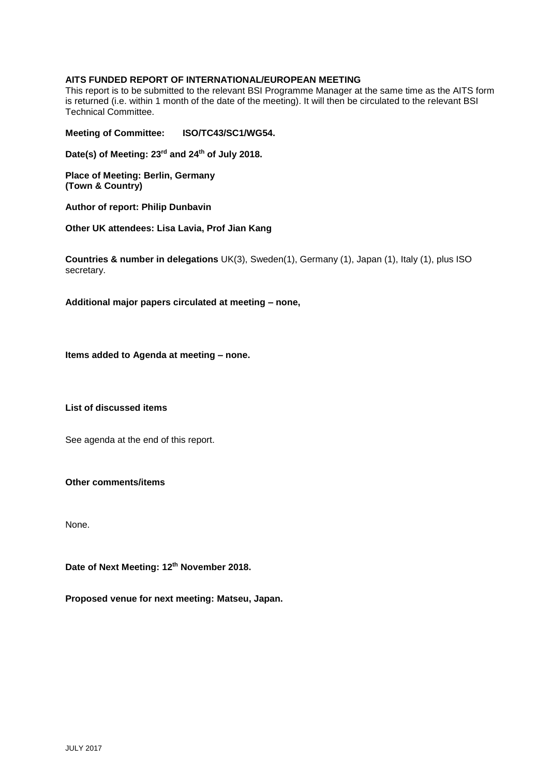## **AITS FUNDED REPORT OF INTERNATIONAL/EUROPEAN MEETING**

This report is to be submitted to the relevant BSI Programme Manager at the same time as the AITS form is returned (i.e. within 1 month of the date of the meeting). It will then be circulated to the relevant BSI Technical Committee.

**Meeting of Committee: ISO/TC43/SC1/WG54.**

**Date(s) of Meeting: 23rd and 24th of July 2018.**

**Place of Meeting: Berlin, Germany (Town & Country)**

**Author of report: Philip Dunbavin**

**Other UK attendees: Lisa Lavia, Prof Jian Kang**

**Countries & number in delegations** UK(3), Sweden(1), Germany (1), Japan (1), Italy (1), plus ISO secretary.

**Additional major papers circulated at meeting – none,**

**Items added to Agenda at meeting – none.**

**List of discussed items**

See agenda at the end of this report.

**Other comments/items**

None.

**Date of Next Meeting: 12th November 2018.**

**Proposed venue for next meeting: Matseu, Japan.**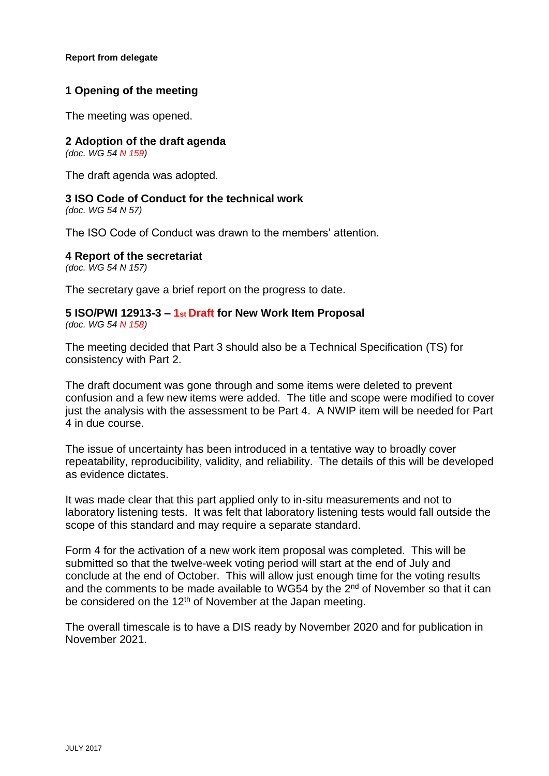## **Report from delegate**

# **1 Opening of the meeting**

The meeting was opened.

# **2 Adoption of the draft agenda**

*(doc. WG 54 N 159)*

The draft agenda was adopted.

# **3 ISO Code of Conduct for the technical work**

*(doc. WG 54 N 57)*

The ISO Code of Conduct was drawn to the members' attention.

# **4 Report of the secretariat**

*(doc. WG 54 N 157)*

The secretary gave a brief report on the progress to date.

# **5 ISO/PWI 12913-3 – 1st Draft for New Work Item Proposal** *(doc. WG 54 N 158)*

The meeting decided that Part 3 should also be a Technical Specification (TS) for consistency with Part 2.

The draft document was gone through and some items were deleted to prevent confusion and a few new items were added. The title and scope were modified to cover just the analysis with the assessment to be Part 4. A NWIP item will be needed for Part 4 in due course.

The issue of uncertainty has been introduced in a tentative way to broadly cover repeatability, reproducibility, validity, and reliability. The details of this will be developed as evidence dictates.

It was made clear that this part applied only to in-situ measurements and not to laboratory listening tests. It was felt that laboratory listening tests would fall outside the scope of this standard and may require a separate standard.

Form 4 for the activation of a new work item proposal was completed. This will be submitted so that the twelve-week voting period will start at the end of July and conclude at the end of October. This will allow just enough time for the voting results and the comments to be made available to WG54 by the 2<sup>nd</sup> of November so that it can be considered on the  $12<sup>th</sup>$  of November at the Japan meeting.

The overall timescale is to have a DIS ready by November 2020 and for publication in November 2021.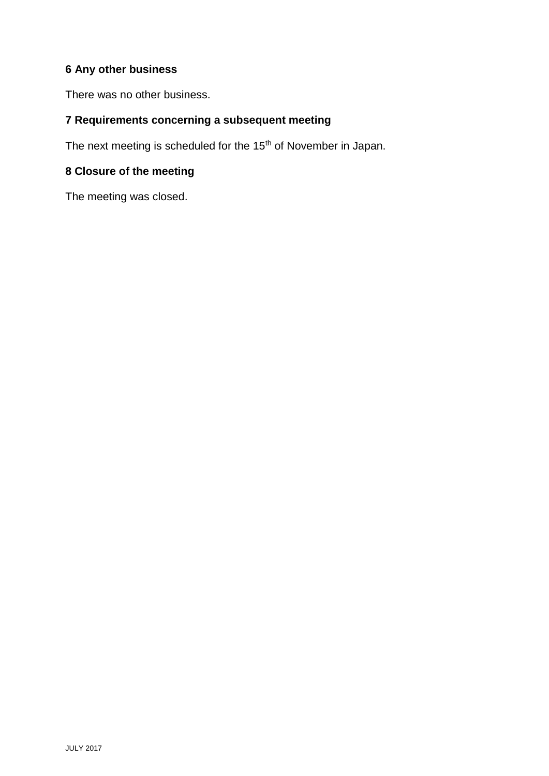# **6 Any other business**

There was no other business.

# **7 Requirements concerning a subsequent meeting**

The next meeting is scheduled for the 15<sup>th</sup> of November in Japan.

# **8 Closure of the meeting**

The meeting was closed.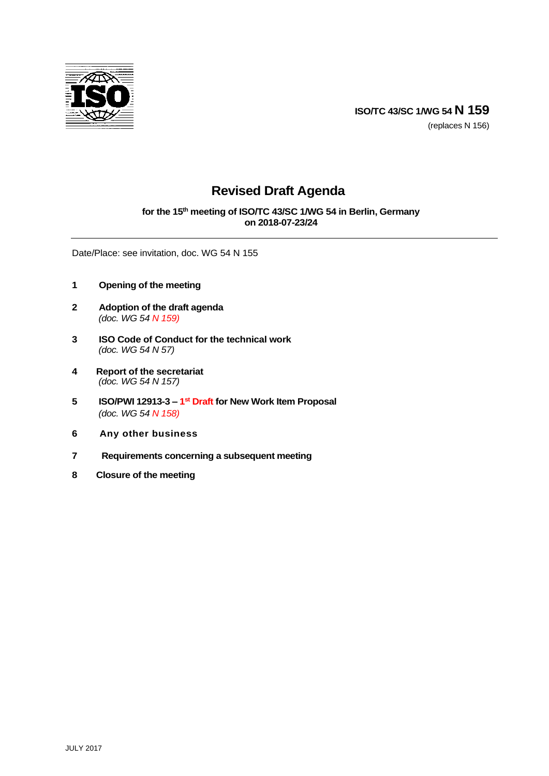

# **Revised Draft Agenda**

**for the 15th meeting of ISO/TC 43/SC 1/WG 54 in Berlin, Germany on 2018-07-23/24**

Date/Place: see invitation, doc. WG 54 N 155

- **1 Opening of the meeting**
- **2 Adoption of the draft agenda** *(doc. WG 54 N 159)*
- **3 ISO Code of Conduct for the technical work** *(doc. WG 54 N 57)*
- **4 Report of the secretariat** *(doc. WG 54 N 157)*
- **5 ISO/PWI 12913-3 – 1 st Draft for New Work Item Proposal** *(doc. WG 54 N 158)*
- **6 Any other business**
- **7 Requirements concerning a subsequent meeting**
- **8 Closure of the meeting**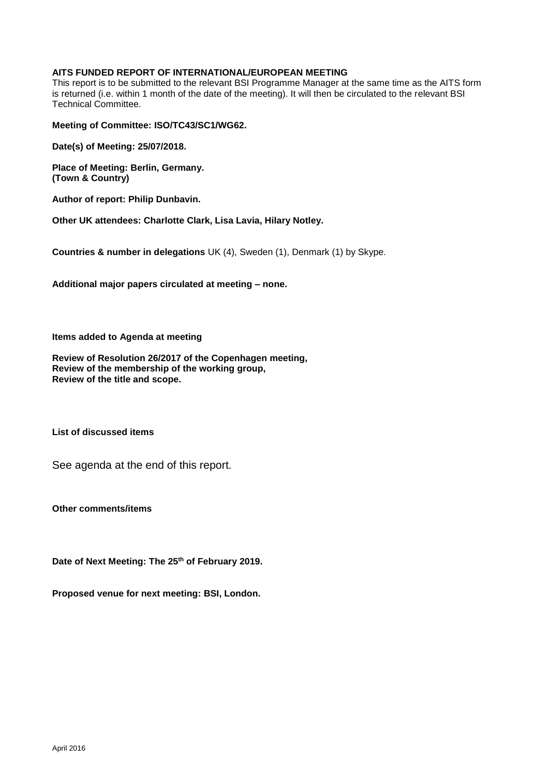## **AITS FUNDED REPORT OF INTERNATIONAL/EUROPEAN MEETING**

This report is to be submitted to the relevant BSI Programme Manager at the same time as the AITS form is returned (i.e. within 1 month of the date of the meeting). It will then be circulated to the relevant BSI Technical Committee.

**Meeting of Committee: ISO/TC43/SC1/WG62.** 

**Date(s) of Meeting: 25/07/2018.**

**Place of Meeting: Berlin, Germany. (Town & Country)**

**Author of report: Philip Dunbavin.**

**Other UK attendees: Charlotte Clark, Lisa Lavia, Hilary Notley.**

**Countries & number in delegations** UK (4), Sweden (1), Denmark (1) by Skype.

**Additional major papers circulated at meeting – none.**

**Items added to Agenda at meeting**

**Review of Resolution 26/2017 of the Copenhagen meeting, Review of the membership of the working group, Review of the title and scope.**

**List of discussed items**

See agenda at the end of this report.

**Other comments/items**

**Date of Next Meeting: The 25th of February 2019.**

**Proposed venue for next meeting: BSI, London.**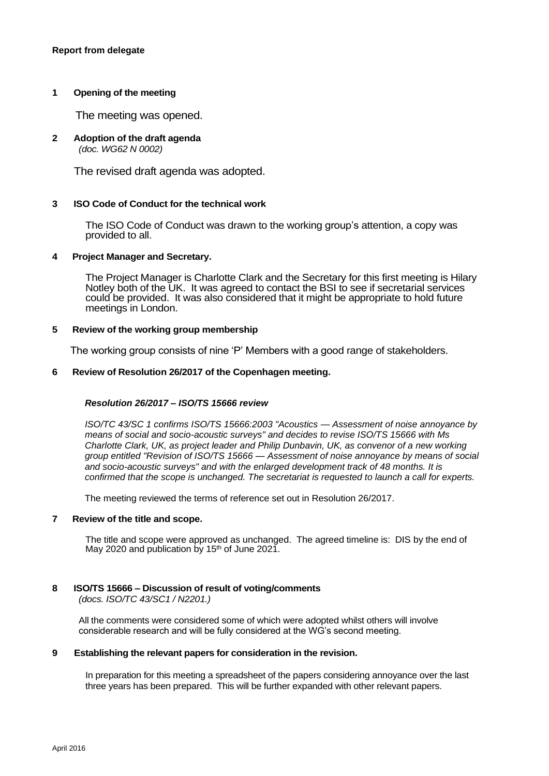## **1 Opening of the meeting**

The meeting was opened.

#### **2 Adoption of the draft agenda** *(doc. WG62 N 0002)*

The revised draft agenda was adopted.

#### **3 ISO Code of Conduct for the technical work**

The ISO Code of Conduct was drawn to the working group's attention, a copy was provided to all.

# **4 Project Manager and Secretary.**

The Project Manager is Charlotte Clark and the Secretary for this first meeting is Hilary Notley both of the UK. It was agreed to contact the BSI to see if secretarial services could be provided. It was also considered that it might be appropriate to hold future meetings in London.

#### **5 Review of the working group membership**

The working group consists of nine 'P' Members with a good range of stakeholders.

#### **6 Review of Resolution 26/2017 of the Copenhagen meeting.**

#### *Resolution 26/2017 – ISO/TS 15666 review*

*ISO/TC 43/SC 1 confirms ISO/TS 15666:2003 "Acoustics — Assessment of noise annoyance by means of social and socio-acoustic surveys" and decides to revise ISO/TS 15666 with Ms Charlotte Clark, UK, as project leader and Philip Dunbavin, UK, as convenor of a new working group entitled "Revision of ISO/TS 15666 — Assessment of noise annoyance by means of social and socio-acoustic surveys" and with the enlarged development track of 48 months. It is confirmed that the scope is unchanged. The secretariat is requested to launch a call for experts.*

The meeting reviewed the terms of reference set out in Resolution 26/2017.

#### **7 Review of the title and scope.**

The title and scope were approved as unchanged. The agreed timeline is: DIS by the end of May 2020 and publication by 15<sup>th</sup> of June 2021.

#### **8 ISO/TS 15666 – Discussion of result of voting/comments**

*(docs. ISO/TC 43/SC1 / N2201.)*

All the comments were considered some of which were adopted whilst others will involve considerable research and will be fully considered at the WG's second meeting.

#### **9 Establishing the relevant papers for consideration in the revision.**

In preparation for this meeting a spreadsheet of the papers considering annoyance over the last three years has been prepared. This will be further expanded with other relevant papers.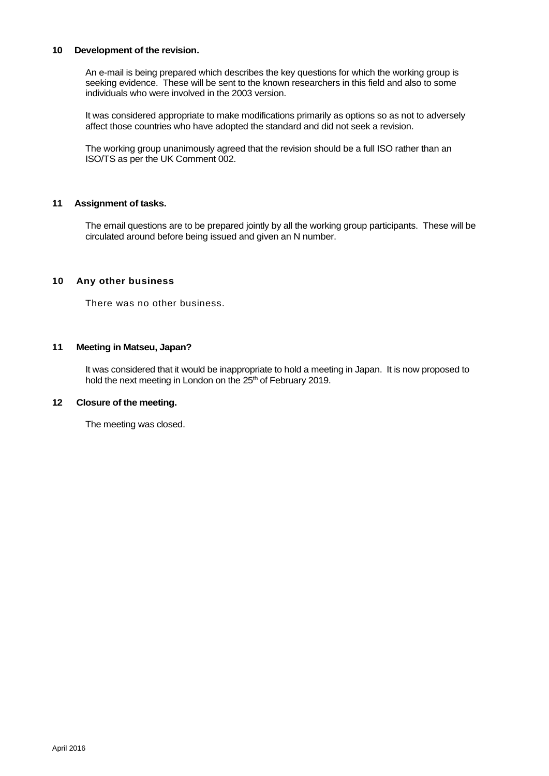#### **10 Development of the revision.**

An e-mail is being prepared which describes the key questions for which the working group is seeking evidence. These will be sent to the known researchers in this field and also to some individuals who were involved in the 2003 version.

It was considered appropriate to make modifications primarily as options so as not to adversely affect those countries who have adopted the standard and did not seek a revision.

The working group unanimously agreed that the revision should be a full ISO rather than an ISO/TS as per the UK Comment 002.

### **11 Assignment of tasks.**

The email questions are to be prepared jointly by all the working group participants. These will be circulated around before being issued and given an N number.

### **10 Any other business**

There was no other business.

## **11 Meeting in Matseu, Japan?**

It was considered that it would be inappropriate to hold a meeting in Japan. It is now proposed to hold the next meeting in London on the 25<sup>th</sup> of February 2019.

#### **12 Closure of the meeting.**

The meeting was closed.